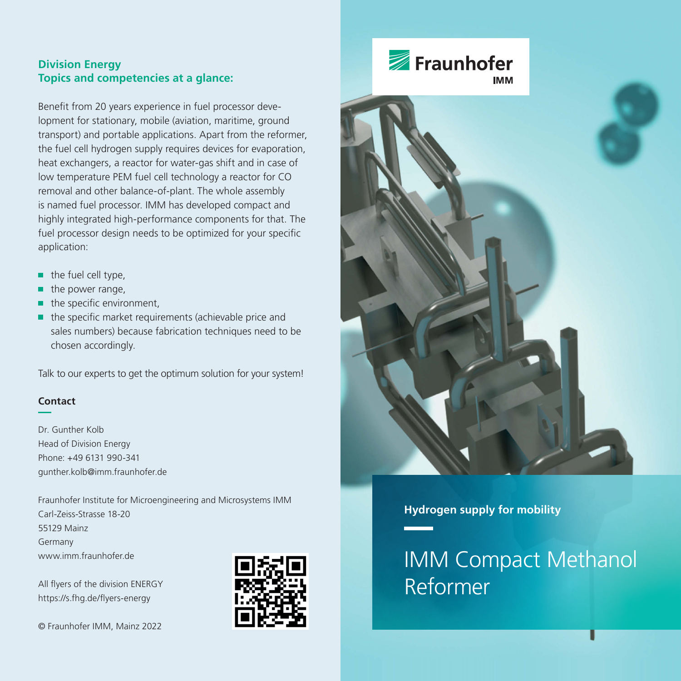# **Division Energy Topics and competencies at a glance:**

Benefit from 20 years experience in fuel processor development for stationary, mobile (aviation, maritime, ground transport) and portable applications. Apart from the reformer, the fuel cell hydrogen supply requires devices for evaporation, heat exchangers, a reactor for water-gas shift and in case of low temperature PEM fuel cell technology a reactor for CO removal and other balance-of-plant. The whole assembly is named fuel processor. IMM has developed compact and highly integrated high-performance components for that. The fuel processor design needs to be optimized for your specific application:

- the fuel cell type, n,
- the power range, ٠
- ٠ the specific environment,
- $\blacksquare$  the specific market requirements (achievable price and sales numbers) because fabrication techniques need to be chosen accordingly.

Talk to our experts to get the optimum solution for your system!

### **Contact**

Dr. Gunther Kolb Head of Division Energy Phone: +49 6131 990-341 gunther.kolb@imm.fraunhofer.de

Fraunhofer Institute for Microengineering and Microsystems IMM Carl-Zeiss-Strasse 18-20 55129 Mainz Germany www.imm.fraunhofer.de

All flyers of the division ENERGY https://s.fhg.de/flyers-energy

© Fraunhofer IMM, Mainz 2022





**Hydrogen supply for mobility**

IMM Compact Methanol Reformer